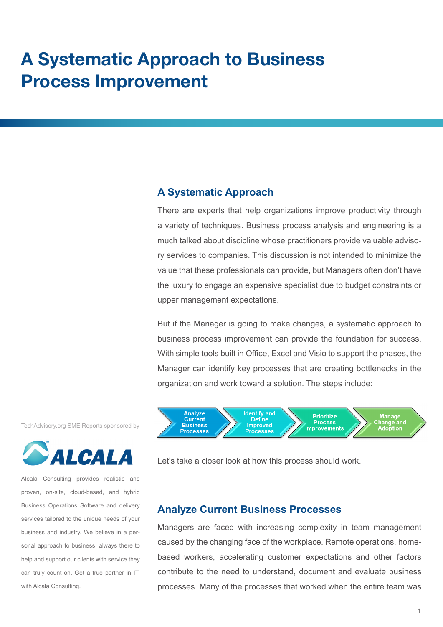# **A Systematic Approach to Business Process Improvement**

# **A Systematic Approach**

There are experts that help organizations improve productivity through a variety of techniques. Business process analysis and engineering is a much talked about discipline whose practitioners provide valuable advisory services to companies. This discussion is not intended to minimize the value that these professionals can provide, but Managers often don't have the luxury to engage an expensive specialist due to budget constraints or upper management expectations.

But if the Manager is going to make changes, a systematic approach to business process improvement can provide the foundation for success. With simple tools built in Office, Excel and Visio to support the phases, the Manager can identify key processes that are creating bottlenecks in the organization and work toward a solution. The steps include:



#### Let's take a closer look at how this process should work.

# **Analyze Current Business Processes**

Managers are faced with increasing complexity in team management caused by the changing face of the workplace. Remote operations, homebased workers, accelerating customer expectations and other factors contribute to the need to understand, document and evaluate business processes. Many of the processes that worked when the entire team was

TechAdvisory.org SME Reports sponsored by



Alcala Consulting provides realistic and proven, on-site, cloud-based, and hybrid Business Operations Software and delivery services tailored to the unique needs of your business and industry. We believe in a personal approach to business, always there to help and support our clients with service they can truly count on. Get a true partner in IT, with Alcala Consulting.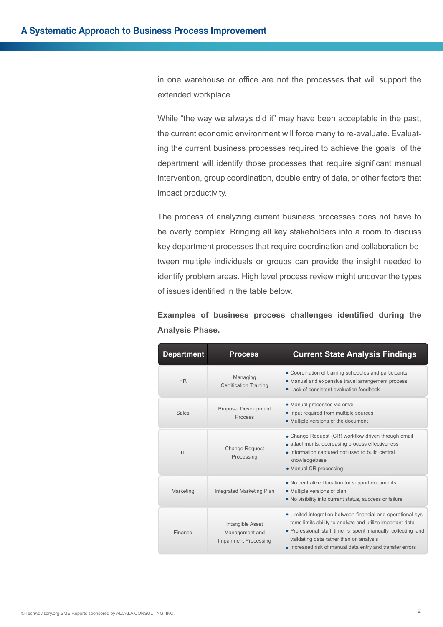in one warehouse or office are not the processes that will support the extended workplace.

While "the way we always did it" may have been acceptable in the past, the current economic environment will force many to re-evaluate. Evaluating the current business processes required to achieve the goals of the department will identify those processes that require significant manual intervention, group coordination, double entry of data, or other factors that impact productivity.

The process of analyzing current business processes does not have to be overly complex. Bringing all key stakeholders into a room to discuss key department processes that require coordination and collaboration between multiple individuals or groups can provide the insight needed to identify problem areas. High level process review might uncover the types of issues identified in the table below.

**Examples of business process challenges identified during the Analysis Phase.**

| <b>Department</b> | <b>Process</b>                                                     | <b>Current State Analysis Findings</b>                                                                                                                                                                                                                                                          |
|-------------------|--------------------------------------------------------------------|-------------------------------------------------------------------------------------------------------------------------------------------------------------------------------------------------------------------------------------------------------------------------------------------------|
| <b>HR</b>         | Managing<br><b>Certification Training</b>                          | • Coordination of training schedules and participants<br>• Manual and expensive travel arrangement process<br>• Lack of consistent evaluation feedback                                                                                                                                          |
| <b>Sales</b>      | Proposal Development<br><b>Process</b>                             | • Manual processes via email<br>• Input required from multiple sources<br>• Multiple versions of the document                                                                                                                                                                                   |
| IT                | <b>Change Request</b><br>Processing                                | • Change Request (CR) workflow driven through email<br>• attachments, decreasing process effectiveness<br>• Information captured not used to build central<br>knowledgebase<br>• Manual CR processing                                                                                           |
| Marketing         | Integrated Marketing Plan                                          | • No centralized location for support documents<br>• Multiple versions of plan<br>• No visibility into current status, success or failure                                                                                                                                                       |
| Finance           | Intangible Asset<br>Management and<br><b>Impairment Processing</b> | • Limited integration between financial and operational sys-<br>tems limits ability to analyze and utilize important data<br>• Professional staff time is spent manually collecting and<br>validating data rather than on analysis<br>• Increased risk of manual data entry and transfer errors |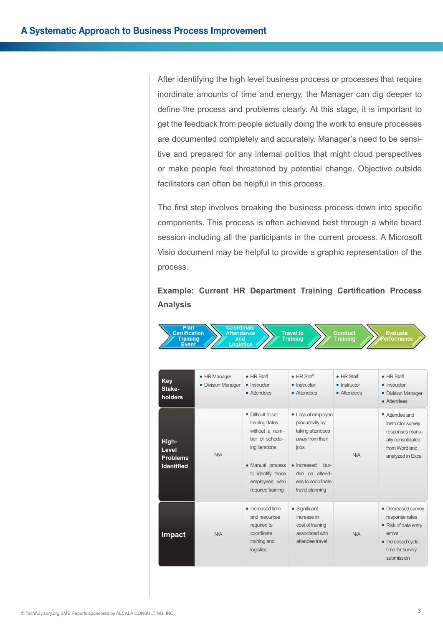After identifying the high level business process or processes that require inordinate amounts of time and energy, the Manager can dig deeper to define the process and problems clearly. At this stage, it is important to get the feedback from people actually doing the work to ensure processes are documented completely and accurately. Manager's need to be sensitive and prepared for any internal politics that might cloud perspectives or make people feel threatened by potential change. Objective outside facilitators can often be helpful in this process.

The first step involves breaking the business process down into specific components. This process is often achieved best through a white board session including all the participants in the current process. A Microsoft Visio document may be helpful to provide a graphic representation of the process.

# **Example: Current HR Department Training Certification Process Analysis**

| Key<br>Stake-<br>holders                               | • HR Manager<br>• Division Manager | $\bullet$ HR Staff<br>• Instructor<br>• Attendees                                                                                                                          | $\bullet$ HR Staff<br>• Instructor<br>• Attendees                                                                                                                     | $\bullet$ HR Staff<br>• Instructor<br>• Attendees | $\bullet$ HR Staff<br>• Instructor<br>• Division Manager<br>• Attendees                                                      |
|--------------------------------------------------------|------------------------------------|----------------------------------------------------------------------------------------------------------------------------------------------------------------------------|-----------------------------------------------------------------------------------------------------------------------------------------------------------------------|---------------------------------------------------|------------------------------------------------------------------------------------------------------------------------------|
| High-<br>Level<br><b>Problems</b><br><b>Identified</b> | N/A                                | • Difficult to set<br>training dates<br>without a num-<br>ber of schedul-<br>ing iterations<br>• Manual process<br>to identify those<br>employees who<br>required training | • Loss of employee<br>productivity by<br>taking attendees<br>away from their<br>jobs<br>• Increased<br>bur-<br>den on attend-<br>ees to coordinate<br>travel planning | N/A                                               | • Attendee and<br>instructor survey<br>responses manu-<br>ally consolidated<br>from Word and<br>analyzed in Excel            |
| <b>Impact</b>                                          | N/A                                | • Increased time<br>and resources<br>required to<br>coordinate<br>training and<br>logistics                                                                                | • Significant<br>increase in<br>cost of training<br>associated with<br>attendee travel                                                                                | N/A                                               | • Decreased survey<br>response rates<br>• Risk of data entry<br>errors<br>• Increased cycle<br>time for survey<br>submission |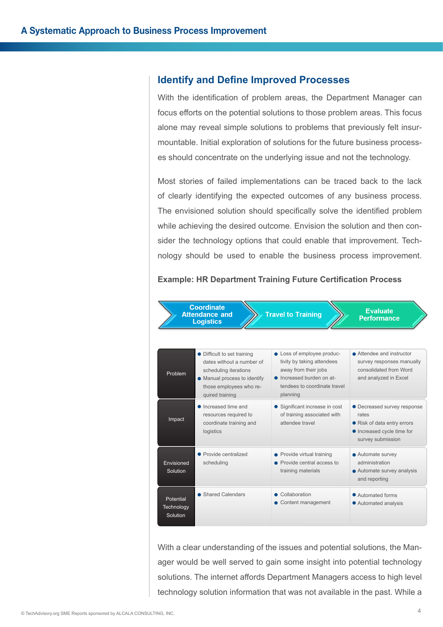## **Identify and Define Improved Processes**

With the identification of problem areas, the Department Manager can focus efforts on the potential solutions to those problem areas. This focus alone may reveal simple solutions to problems that previously felt insurmountable. Initial exploration of solutions for the future business processes should concentrate on the underlying issue and not the technology.

Most stories of failed implementations can be traced back to the lack of clearly identifying the expected outcomes of any business process. The envisioned solution should specifically solve the identified problem while achieving the desired outcome. Envision the solution and then consider the technology options that could enable that improvement. Technology should be used to enable the business process improvement.

#### **Example: HR Department Training Future Certification Process**



With a clear understanding of the issues and potential solutions, the Manager would be well served to gain some insight into potential technology solutions. The internet affords Department Managers access to high level technology solution information that was not available in the past. While a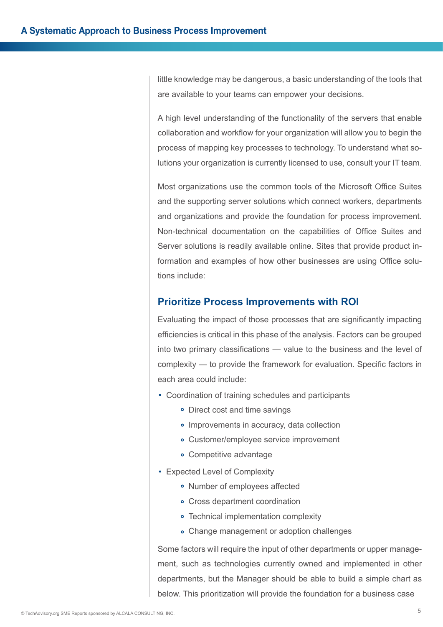little knowledge may be dangerous, a basic understanding of the tools that are available to your teams can empower your decisions.

A high level understanding of the functionality of the servers that enable collaboration and workflow for your organization will allow you to begin the process of mapping key processes to technology. To understand what solutions your organization is currently licensed to use, consult your IT team.

Most organizations use the common tools of the Microsoft Office Suites and the supporting server solutions which connect workers, departments and organizations and provide the foundation for process improvement. Non-technical documentation on the capabilities of Office Suites and Server solutions is readily available online. Sites that provide product information and examples of how other businesses are using Office solutions include:

# **Prioritize Process Improvements with ROI**

Evaluating the impact of those processes that are significantly impacting efficiencies is critical in this phase of the analysis. Factors can be grouped into two primary classifications — value to the business and the level of complexity — to provide the framework for evaluation. Specific factors in each area could include:

- Coordination of training schedules and participants
	- Direct cost and time savings
	- Improvements in accuracy, data collection
	- Customer/employee service improvement
	- Competitive advantage
- Expected Level of Complexity
	- Number of employees affected
	- Cross department coordination
	- Technical implementation complexity
	- Change management or adoption challenges

Some factors will require the input of other departments or upper management, such as technologies currently owned and implemented in other departments, but the Manager should be able to build a simple chart as below. This prioritization will provide the foundation for a business case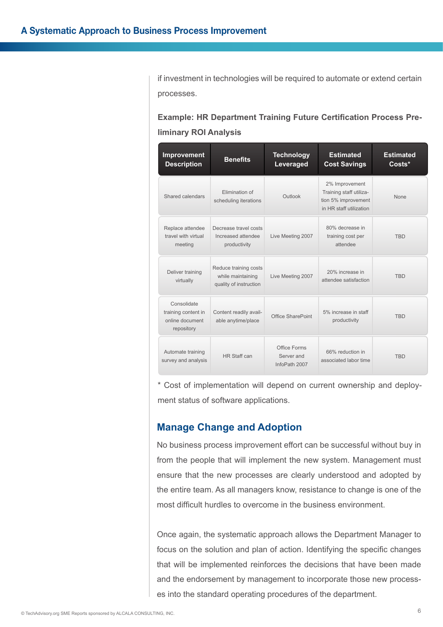if investment in technologies will be required to automate or extend certain processes.

**Example: HR Department Training Future Certification Process Preliminary ROI Analysis**

| Improvement<br><b>Description</b>                                   | <b>Benefits</b>                                                      | <b>Technology</b><br>Leveraged              | <b>Estimated</b><br><b>Cost Savings</b>                                                     | <b>Estimated</b><br>Costs* |
|---------------------------------------------------------------------|----------------------------------------------------------------------|---------------------------------------------|---------------------------------------------------------------------------------------------|----------------------------|
| Shared calendars                                                    | Flimination of<br>scheduling iterations                              | Outlook                                     | 2% Improvement<br>Training staff utiliza-<br>tion 5% improvement<br>in HR staff utilization | <b>None</b>                |
| Replace attendee<br>travel with virtual<br>meeting                  | Decrease travel costs<br>Increased attendee<br>productivity          | Live Meeting 2007                           | 80% decrease in<br>training cost per<br>attendee                                            | <b>TRD</b>                 |
| Deliver training<br>virtually                                       | Reduce training costs<br>while maintaining<br>quality of instruction | Live Meeting 2007                           | 20% increase in<br>attendee satisfaction                                                    | <b>TRD</b>                 |
| Consolidate<br>training content in<br>online document<br>repository | Content readily avail-<br>able anytime/place                         | Office SharePoint                           | 5% increase in staff<br>productivity                                                        | <b>TRD</b>                 |
| Automate training<br>survey and analysis                            | HR Staff can                                                         | Office Forms<br>Server and<br>InfoPath 2007 | 66% reduction in<br>associated labor time                                                   | <b>TBD</b>                 |

\* Cost of implementation will depend on current ownership and deployment status of software applications.

# **Manage Change and Adoption**

No business process improvement effort can be successful without buy in from the people that will implement the new system. Management must ensure that the new processes are clearly understood and adopted by the entire team. As all managers know, resistance to change is one of the most difficult hurdles to overcome in the business environment.

Once again, the systematic approach allows the Department Manager to focus on the solution and plan of action. Identifying the specific changes that will be implemented reinforces the decisions that have been made and the endorsement by management to incorporate those new processes into the standard operating procedures of the department.